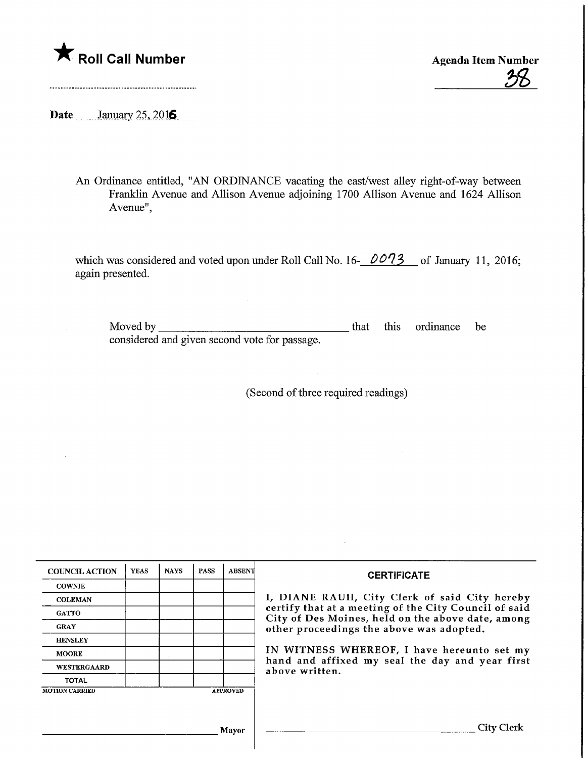

Roll Call Number<br>
Agenda Item Number<br>
28

Date <u>January 25, 2016</u>

An Ordinance entitled, "AN ORDINANCE vacating the east/west alley right-of-way between Franklin Avenue and Allison Avenue adjoining 1700 Allison Avenue and 1624 Allison Avenue",

which was considered and voted upon under Roll Call No. 16- $0.073$  of January 11, 2016; again presented.

Moved by considered and given second vote for passage. **that** this ordinance be

(Second of three required readings)

| <b>COUNCIL ACTION</b>                    | <b>YEAS</b> | <b>NAYS</b> | <b>PASS</b> | <b>ABSENT</b> | <b>CERTIFICATE</b>                                                                                                                                                                                                                                                                                                         |
|------------------------------------------|-------------|-------------|-------------|---------------|----------------------------------------------------------------------------------------------------------------------------------------------------------------------------------------------------------------------------------------------------------------------------------------------------------------------------|
| <b>COWNIE</b>                            |             |             |             |               | I, DIANE RAUH, City Clerk of said City hereby<br>certify that at a meeting of the City Council of said<br>City of Des Moines, held on the above date, among<br>other proceedings the above was adopted.<br>IN WITNESS WHEREOF, I have hereunto set my<br>hand and affixed my seal the day and year first<br>above written. |
| <b>COLEMAN</b>                           |             |             |             |               |                                                                                                                                                                                                                                                                                                                            |
| <b>GATTO</b>                             |             |             |             |               |                                                                                                                                                                                                                                                                                                                            |
| <b>GRAY</b>                              |             |             |             |               |                                                                                                                                                                                                                                                                                                                            |
| <b>HENSLEY</b>                           |             |             |             |               |                                                                                                                                                                                                                                                                                                                            |
| <b>MOORE</b>                             |             |             |             |               |                                                                                                                                                                                                                                                                                                                            |
| <b>WESTERGAARD</b>                       |             |             |             |               |                                                                                                                                                                                                                                                                                                                            |
| <b>TOTAL</b>                             |             |             |             |               |                                                                                                                                                                                                                                                                                                                            |
| <b>MOTION CARRIED</b><br><b>APPROVED</b> |             |             |             |               |                                                                                                                                                                                                                                                                                                                            |
|                                          |             |             |             |               |                                                                                                                                                                                                                                                                                                                            |
|                                          |             |             |             |               |                                                                                                                                                                                                                                                                                                                            |
| <b>Mayor</b>                             |             |             |             |               | City (                                                                                                                                                                                                                                                                                                                     |